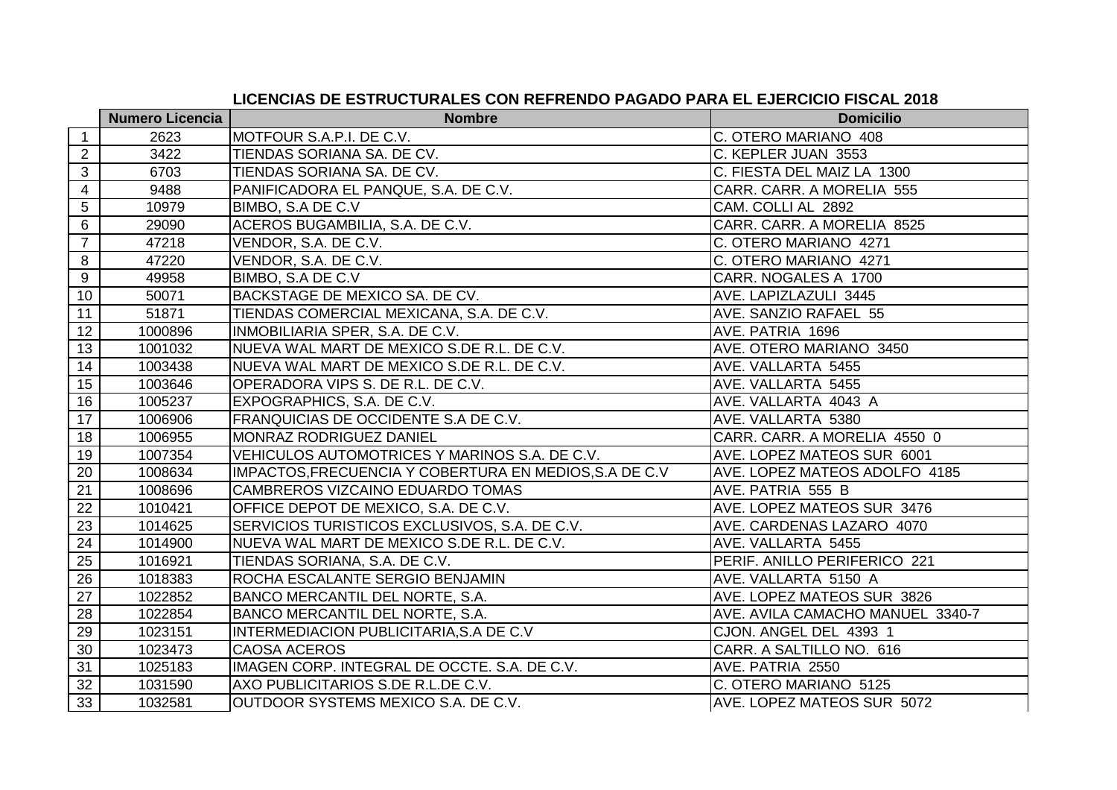|                 | <b>Numero Licencia</b> | <b>Nombre</b>                                          | <b>Domicilio</b>                 |
|-----------------|------------------------|--------------------------------------------------------|----------------------------------|
| $\overline{1}$  | 2623                   | MOTFOUR S.A.P.I. DE C.V.                               | C. OTERO MARIANO 408             |
| 2               | 3422                   | TIENDAS SORIANA SA. DE CV.                             | C. KEPLER JUAN 3553              |
| 3               | 6703                   | TIENDAS SORIANA SA. DE CV.                             | C. FIESTA DEL MAIZ LA 1300       |
| $\overline{4}$  | 9488                   | PANIFICADORA EL PANQUE, S.A. DE C.V.                   | CARR. CARR. A MORELIA 555        |
| 5               | 10979                  | BIMBO, S.A DE C.V                                      | CAM. COLLI AL 2892               |
| 6               | 29090                  | ACEROS BUGAMBILIA, S.A. DE C.V.                        | CARR. CARR. A MORELIA 8525       |
| $\overline{7}$  | 47218                  | VENDOR, S.A. DE C.V.                                   | C. OTERO MARIANO 4271            |
| 8               | 47220                  | VENDOR, S.A. DE C.V.                                   | C. OTERO MARIANO 4271            |
| $\overline{9}$  | 49958                  | BIMBO, S.A DE C.V                                      | CARR. NOGALES A 1700             |
| 10              | 50071                  | BACKSTAGE DE MEXICO SA. DE CV.                         | AVE. LAPIZLAZULI 3445            |
| 11              | 51871                  | TIENDAS COMERCIAL MEXICANA, S.A. DE C.V.               | AVE. SANZIO RAFAEL 55            |
| 12              | 1000896                | INMOBILIARIA SPER, S.A. DE C.V.                        | AVE. PATRIA 1696                 |
| 13              | 1001032                | NUEVA WAL MART DE MEXICO S.DE R.L. DE C.V.             | AVE. OTERO MARIANO 3450          |
| 14              | 1003438                | NUEVA WAL MART DE MEXICO S.DE R.L. DE C.V.             | AVE. VALLARTA 5455               |
| 15              | 1003646                | OPERADORA VIPS S. DE R.L. DE C.V.                      | AVE. VALLARTA 5455               |
| 16              | 1005237                | EXPOGRAPHICS, S.A. DE C.V.                             | AVE. VALLARTA 4043 A             |
| 17              | 1006906                | FRANQUICIAS DE OCCIDENTE S.A DE C.V.                   | AVE. VALLARTA 5380               |
| 18              | 1006955                | <b>MONRAZ RODRIGUEZ DANIEL</b>                         | CARR. CARR. A MORELIA 4550 0     |
| 19              | 1007354                | VEHICULOS AUTOMOTRICES Y MARINOS S.A. DE C.V.          | AVE. LOPEZ MATEOS SUR 6001       |
| 20              | 1008634                | IMPACTOS, FRECUENCIA Y COBERTURA EN MEDIOS, S.A DE C.V | AVE. LOPEZ MATEOS ADOLFO 4185    |
| 21              | 1008696                | CAMBREROS VIZCAINO EDUARDO TOMAS                       | AVE. PATRIA 555 B                |
| 22              | 1010421                | OFFICE DEPOT DE MEXICO, S.A. DE C.V.                   | AVE. LOPEZ MATEOS SUR 3476       |
| 23              | 1014625                | SERVICIOS TURISTICOS EXCLUSIVOS, S.A. DE C.V.          | AVE. CARDENAS LAZARO 4070        |
| 24              | 1014900                | NUEVA WAL MART DE MEXICO S.DE R.L. DE C.V.             | AVE. VALLARTA 5455               |
| 25              | 1016921                | TIENDAS SORIANA, S.A. DE C.V.                          | PERIF. ANILLO PERIFERICO 221     |
| 26              | 1018383                | ROCHA ESCALANTE SERGIO BENJAMIN                        | AVE. VALLARTA 5150 A             |
| 27              | 1022852                | BANCO MERCANTIL DEL NORTE, S.A.                        | AVE. LOPEZ MATEOS SUR 3826       |
| 28              | 1022854                | BANCO MERCANTIL DEL NORTE, S.A.                        | AVE. AVILA CAMACHO MANUEL 3340-7 |
| 29              | 1023151                | INTERMEDIACION PUBLICITARIA, S.A DE C.V                | CJON. ANGEL DEL 4393 1           |
| 30              | 1023473                | <b>CAOSA ACEROS</b>                                    | CARR. A SALTILLO NO. 616         |
| 31              | 1025183                | IMAGEN CORP. INTEGRAL DE OCCTE. S.A. DE C.V.           | AVE. PATRIA 2550                 |
| $\overline{32}$ | 1031590                | AXO PUBLICITARIOS S.DE R.L.DE C.V.                     | C. OTERO MARIANO 5125            |
| 33              | 1032581                | OUTDOOR SYSTEMS MEXICO S.A. DE C.V.                    | AVE. LOPEZ MATEOS SUR 5072       |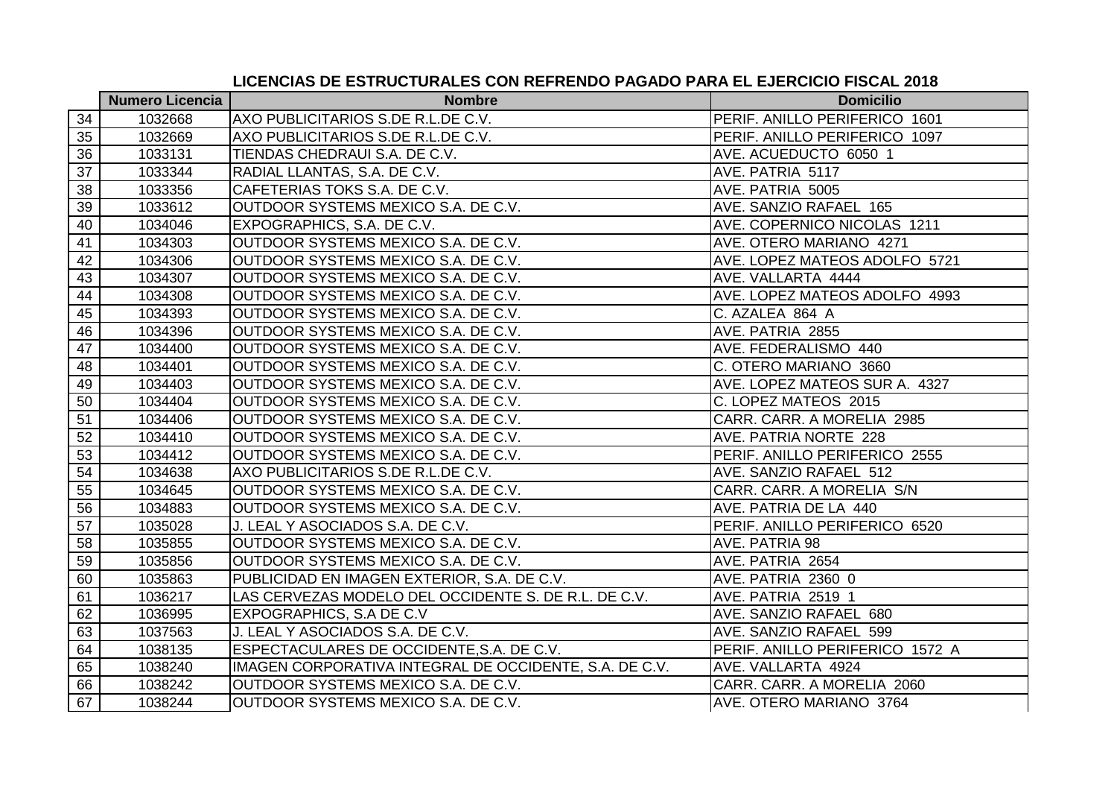|                 | <b>Numero Licencia</b> | <b>Nombre</b>                                          | <b>Domicilio</b>                |
|-----------------|------------------------|--------------------------------------------------------|---------------------------------|
| 34              | 1032668                | AXO PUBLICITARIOS S.DE R.L.DE C.V.                     | PERIF. ANILLO PERIFERICO 1601   |
| 35              | 1032669                | AXO PUBLICITARIOS S.DE R.L.DE C.V.                     | PERIF. ANILLO PERIFERICO 1097   |
| 36              | 1033131                | TIENDAS CHEDRAUI S.A. DE C.V.                          | AVE. ACUEDUCTO 6050 1           |
| $\overline{37}$ | 1033344                | RADIAL LLANTAS, S.A. DE C.V.                           | AVE. PATRIA 5117                |
| 38              | 1033356                | CAFETERIAS TOKS S.A. DE C.V.                           | AVE. PATRIA 5005                |
| 39              | 1033612                | OUTDOOR SYSTEMS MEXICO S.A. DE C.V.                    | AVE. SANZIO RAFAEL 165          |
| 40              | 1034046                | EXPOGRAPHICS, S.A. DE C.V.                             | AVE. COPERNICO NICOLAS 1211     |
| 41              | 1034303                | OUTDOOR SYSTEMS MEXICO S.A. DE C.V.                    | AVE. OTERO MARIANO 4271         |
| 42              | 1034306                | OUTDOOR SYSTEMS MEXICO S.A. DE C.V.                    | AVE. LOPEZ MATEOS ADOLFO 5721   |
| 43              | 1034307                | OUTDOOR SYSTEMS MEXICO S.A. DE C.V.                    | AVE. VALLARTA 4444              |
| 44              | 1034308                | OUTDOOR SYSTEMS MEXICO S.A. DE C.V.                    | AVE. LOPEZ MATEOS ADOLFO 4993   |
| 45              | 1034393                | OUTDOOR SYSTEMS MEXICO S.A. DE C.V.                    | C. AZALEA 864 A                 |
| 46              | 1034396                | OUTDOOR SYSTEMS MEXICO S.A. DE C.V.                    | AVE. PATRIA 2855                |
| 47              | 1034400                | OUTDOOR SYSTEMS MEXICO S.A. DE C.V.                    | AVE. FEDERALISMO 440            |
| 48              | 1034401                | OUTDOOR SYSTEMS MEXICO S.A. DE C.V.                    | C. OTERO MARIANO 3660           |
| 49              | 1034403                | OUTDOOR SYSTEMS MEXICO S.A. DE C.V.                    | AVE. LOPEZ MATEOS SUR A. 4327   |
| 50              | 1034404                | OUTDOOR SYSTEMS MEXICO S.A. DE C.V.                    | C. LOPEZ MATEOS 2015            |
| 51              | 1034406                | OUTDOOR SYSTEMS MEXICO S.A. DE C.V.                    | CARR. CARR. A MORELIA 2985      |
| 52              | 1034410                | OUTDOOR SYSTEMS MEXICO S.A. DE C.V.                    | AVE. PATRIA NORTE 228           |
| 53              | 1034412                | OUTDOOR SYSTEMS MEXICO S.A. DE C.V.                    | PERIF. ANILLO PERIFERICO 2555   |
| 54              | 1034638                | AXO PUBLICITARIOS S.DE R.L.DE C.V.                     | AVE. SANZIO RAFAEL 512          |
| 55              | 1034645                | OUTDOOR SYSTEMS MEXICO S.A. DE C.V.                    | CARR. CARR. A MORELIA S/N       |
| 56              | 1034883                | OUTDOOR SYSTEMS MEXICO S.A. DE C.V.                    | AVE. PATRIA DE LA 440           |
| 57              | 1035028                | J. LEAL Y ASOCIADOS S.A. DE C.V.                       | PERIF. ANILLO PERIFERICO 6520   |
| 58              | 1035855                | OUTDOOR SYSTEMS MEXICO S.A. DE C.V.                    | AVE. PATRIA 98                  |
| 59              | 1035856                | OUTDOOR SYSTEMS MEXICO S.A. DE C.V.                    | AVE. PATRIA 2654                |
| 60              | 1035863                | PUBLICIDAD EN IMAGEN EXTERIOR, S.A. DE C.V.            | AVE. PATRIA 2360 0              |
| 61              | 1036217                | LAS CERVEZAS MODELO DEL OCCIDENTE S. DE R.L. DE C.V.   | AVE. PATRIA 2519 1              |
| 62              | 1036995                | EXPOGRAPHICS, S.A DE C.V                               | AVE. SANZIO RAFAEL 680          |
| 63              | 1037563                | J. LEAL Y ASOCIADOS S.A. DE C.V.                       | AVE. SANZIO RAFAEL 599          |
| 64              | 1038135                | ESPECTACULARES DE OCCIDENTE, S.A. DE C.V.              | PERIF. ANILLO PERIFERICO 1572 A |
| 65              | 1038240                | IMAGEN CORPORATIVA INTEGRAL DE OCCIDENTE, S.A. DE C.V. | AVE. VALLARTA 4924              |
| 66              | 1038242                | OUTDOOR SYSTEMS MEXICO S.A. DE C.V.                    | CARR. CARR. A MORELIA 2060      |
| 67              | 1038244                | OUTDOOR SYSTEMS MEXICO S.A. DE C.V.                    | AVE. OTERO MARIANO 3764         |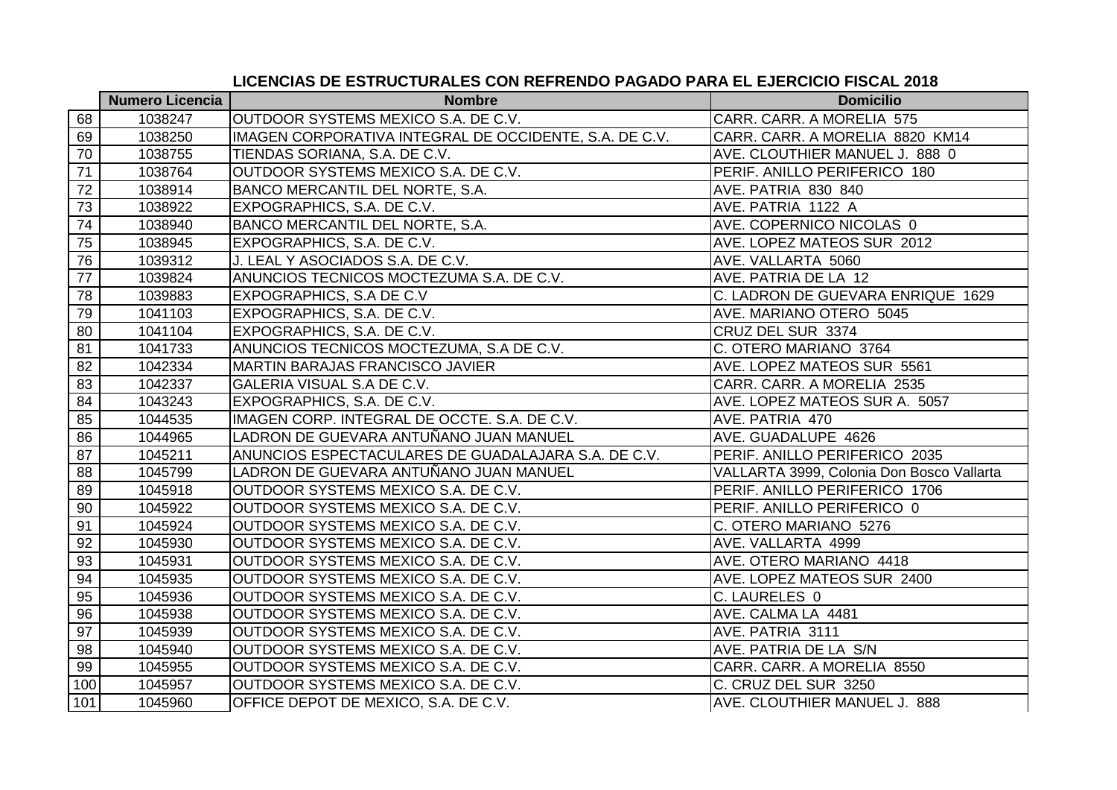|     | <b>Numero Licencia</b> | <b>Nombre</b>                                          | <b>Domicilio</b>                          |
|-----|------------------------|--------------------------------------------------------|-------------------------------------------|
| 68  | 1038247                | OUTDOOR SYSTEMS MEXICO S.A. DE C.V.                    | CARR. CARR. A MORELIA 575                 |
| 69  | 1038250                | IMAGEN CORPORATIVA INTEGRAL DE OCCIDENTE, S.A. DE C.V. | CARR. CARR. A MORELIA 8820 KM14           |
| 70  | 1038755                | TIENDAS SORIANA, S.A. DE C.V.                          | AVE. CLOUTHIER MANUEL J. 888 0            |
| 71  | 1038764                | OUTDOOR SYSTEMS MEXICO S.A. DE C.V.                    | PERIF. ANILLO PERIFERICO 180              |
| 72  | 1038914                | BANCO MERCANTIL DEL NORTE, S.A.                        | AVE. PATRIA 830 840                       |
| 73  | 1038922                | EXPOGRAPHICS, S.A. DE C.V.                             | AVE. PATRIA 1122 A                        |
| 74  | 1038940                | BANCO MERCANTIL DEL NORTE, S.A.                        | AVE. COPERNICO NICOLAS 0                  |
| 75  | 1038945                | EXPOGRAPHICS, S.A. DE C.V.                             | AVE. LOPEZ MATEOS SUR 2012                |
| 76  | 1039312                | J. LEAL Y ASOCIADOS S.A. DE C.V.                       | AVE. VALLARTA 5060                        |
| 77  | 1039824                | ANUNCIOS TECNICOS MOCTEZUMA S.A. DE C.V.               | AVE. PATRIA DE LA 12                      |
| 78  | 1039883                | EXPOGRAPHICS, S.A DE C.V                               | C. LADRON DE GUEVARA ENRIQUE 1629         |
| 79  | 1041103                | EXPOGRAPHICS, S.A. DE C.V.                             | AVE. MARIANO OTERO 5045                   |
| 80  | 1041104                | EXPOGRAPHICS, S.A. DE C.V.                             | CRUZ DEL SUR 3374                         |
| 81  | 1041733                | ANUNCIOS TECNICOS MOCTEZUMA, S.A DE C.V.               | C. OTERO MARIANO 3764                     |
| 82  | 1042334                | <b>MARTIN BARAJAS FRANCISCO JAVIER</b>                 | AVE. LOPEZ MATEOS SUR 5561                |
| 83  | 1042337                | GALERIA VISUAL S.A DE C.V.                             | CARR. CARR. A MORELIA 2535                |
| 84  | 1043243                | EXPOGRAPHICS, S.A. DE C.V.                             | AVE. LOPEZ MATEOS SUR A. 5057             |
| 85  | 1044535                | IMAGEN CORP. INTEGRAL DE OCCTE. S.A. DE C.V.           | AVE. PATRIA 470                           |
| 86  | 1044965                | LADRON DE GUEVARA ANTUÑANO JUAN MANUEL                 | AVE. GUADALUPE 4626                       |
| 87  | 1045211                | ANUNCIOS ESPECTACULARES DE GUADALAJARA S.A. DE C.V.    | PERIF. ANILLO PERIFERICO 2035             |
| 88  | 1045799                | LADRON DE GUEVARA ANTUÑANO JUAN MANUEL                 | VALLARTA 3999, Colonia Don Bosco Vallarta |
| 89  | 1045918                | OUTDOOR SYSTEMS MEXICO S.A. DE C.V.                    | PERIF. ANILLO PERIFERICO 1706             |
| 90  | 1045922                | OUTDOOR SYSTEMS MEXICO S.A. DE C.V.                    | PERIF. ANILLO PERIFERICO 0                |
| 91  | 1045924                | OUTDOOR SYSTEMS MEXICO S.A. DE C.V.                    | C. OTERO MARIANO 5276                     |
| 92  | 1045930                | OUTDOOR SYSTEMS MEXICO S.A. DE C.V.                    | AVE. VALLARTA 4999                        |
| 93  | 1045931                | OUTDOOR SYSTEMS MEXICO S.A. DE C.V.                    | AVE. OTERO MARIANO 4418                   |
| 94  | 1045935                | OUTDOOR SYSTEMS MEXICO S.A. DE C.V.                    | AVE. LOPEZ MATEOS SUR 2400                |
| 95  | 1045936                | OUTDOOR SYSTEMS MEXICO S.A. DE C.V.                    | C. LAURELES 0                             |
| 96  | 1045938                | OUTDOOR SYSTEMS MEXICO S.A. DE C.V.                    | AVE. CALMA LA 4481                        |
| 97  | 1045939                | OUTDOOR SYSTEMS MEXICO S.A. DE C.V.                    | AVE. PATRIA 3111                          |
| 98  | 1045940                | OUTDOOR SYSTEMS MEXICO S.A. DE C.V.                    | AVE. PATRIA DE LA S/N                     |
| 99  | 1045955                | OUTDOOR SYSTEMS MEXICO S.A. DE C.V.                    | CARR. CARR. A MORELIA 8550                |
| 100 | 1045957                | OUTDOOR SYSTEMS MEXICO S.A. DE C.V.                    | C. CRUZ DEL SUR 3250                      |
| 101 | 1045960                | OFFICE DEPOT DE MEXICO, S.A. DE C.V.                   | AVE. CLOUTHIER MANUEL J. 888              |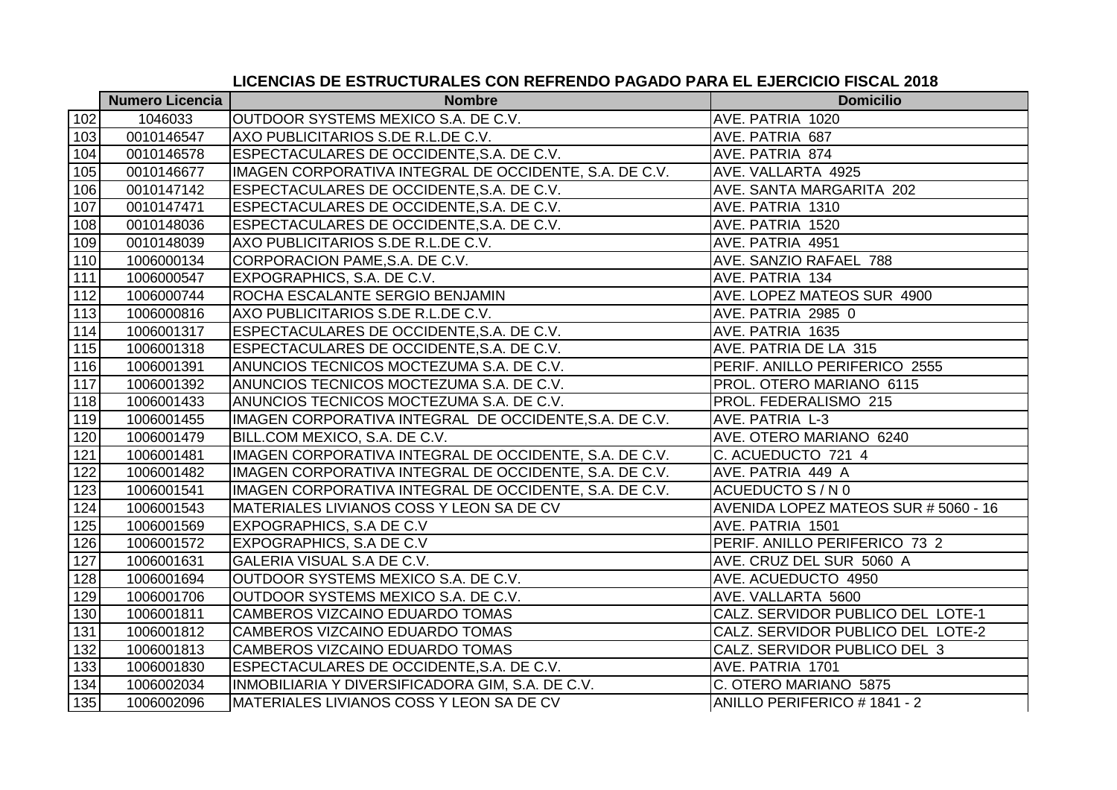|     | <b>Numero Licencia</b> | <b>Nombre</b>                                          | <b>Domicilio</b>                     |
|-----|------------------------|--------------------------------------------------------|--------------------------------------|
| 102 | 1046033                | OUTDOOR SYSTEMS MEXICO S.A. DE C.V.                    | AVE. PATRIA 1020                     |
| 103 | 0010146547             | AXO PUBLICITARIOS S.DE R.L.DE C.V.                     | AVE. PATRIA 687                      |
| 104 | 0010146578             | ESPECTACULARES DE OCCIDENTE, S.A. DE C.V.              | AVE. PATRIA 874                      |
| 105 | 0010146677             | IMAGEN CORPORATIVA INTEGRAL DE OCCIDENTE, S.A. DE C.V. | AVE. VALLARTA 4925                   |
| 106 | 0010147142             | ESPECTACULARES DE OCCIDENTE, S.A. DE C.V.              | AVE. SANTA MARGARITA 202             |
| 107 | 0010147471             | ESPECTACULARES DE OCCIDENTE, S.A. DE C.V.              | AVE. PATRIA 1310                     |
| 108 | 0010148036             | ESPECTACULARES DE OCCIDENTE, S.A. DE C.V.              | AVE. PATRIA 1520                     |
| 109 | 0010148039             | AXO PUBLICITARIOS S.DE R.L.DE C.V.                     | AVE. PATRIA 4951                     |
| 110 | 1006000134             | CORPORACION PAME, S.A. DE C.V.                         | AVE. SANZIO RAFAEL 788               |
| 111 | 1006000547             | EXPOGRAPHICS, S.A. DE C.V.                             | AVE. PATRIA 134                      |
| 112 | 1006000744             | ROCHA ESCALANTE SERGIO BENJAMIN                        | AVE. LOPEZ MATEOS SUR 4900           |
| 113 | 1006000816             | AXO PUBLICITARIOS S.DE R.L.DE C.V.                     | AVE. PATRIA 2985 0                   |
| 114 | 1006001317             | ESPECTACULARES DE OCCIDENTE, S.A. DE C.V.              | AVE. PATRIA 1635                     |
| 115 | 1006001318             | ESPECTACULARES DE OCCIDENTE, S.A. DE C.V.              | AVE. PATRIA DE LA 315                |
| 116 | 1006001391             | ANUNCIOS TECNICOS MOCTEZUMA S.A. DE C.V.               | PERIF. ANILLO PERIFERICO 2555        |
| 117 | 1006001392             | ANUNCIOS TECNICOS MOCTEZUMA S.A. DE C.V.               | PROL. OTERO MARIANO 6115             |
| 118 | 1006001433             | ANUNCIOS TECNICOS MOCTEZUMA S.A. DE C.V.               | PROL. FEDERALISMO 215                |
| 119 | 1006001455             | IMAGEN CORPORATIVA INTEGRAL DE OCCIDENTE,S.A. DE C.V.  | AVE. PATRIA L-3                      |
| 120 | 1006001479             | BILL.COM MEXICO, S.A. DE C.V.                          | AVE. OTERO MARIANO 6240              |
| 121 | 1006001481             | IMAGEN CORPORATIVA INTEGRAL DE OCCIDENTE, S.A. DE C.V. | C. ACUEDUCTO 721 4                   |
| 122 | 1006001482             | IMAGEN CORPORATIVA INTEGRAL DE OCCIDENTE, S.A. DE C.V. | AVE. PATRIA 449 A                    |
| 123 | 1006001541             | IMAGEN CORPORATIVA INTEGRAL DE OCCIDENTE, S.A. DE C.V. | ACUEDUCTO S / N 0                    |
| 124 | 1006001543             | MATERIALES LIVIANOS COSS Y LEON SA DE CV               | AVENIDA LOPEZ MATEOS SUR # 5060 - 16 |
| 125 | 1006001569             | <b>EXPOGRAPHICS, S.A DE C.V</b>                        | AVE. PATRIA 1501                     |
| 126 | 1006001572             | EXPOGRAPHICS, S.A DE C.V                               | PERIF. ANILLO PERIFERICO 73 2        |
| 127 | 1006001631             | <b>GALERIA VISUAL S.A DE C.V.</b>                      | AVE. CRUZ DEL SUR 5060 A             |
| 128 | 1006001694             | OUTDOOR SYSTEMS MEXICO S.A. DE C.V.                    | AVE. ACUEDUCTO 4950                  |
| 129 | 1006001706             | OUTDOOR SYSTEMS MEXICO S.A. DE C.V.                    | AVE. VALLARTA 5600                   |
| 130 | 1006001811             | CAMBEROS VIZCAINO EDUARDO TOMAS                        | CALZ. SERVIDOR PUBLICO DEL LOTE-1    |
| 131 | 1006001812             | CAMBEROS VIZCAINO EDUARDO TOMAS                        | CALZ. SERVIDOR PUBLICO DEL LOTE-2    |
| 132 | 1006001813             | CAMBEROS VIZCAINO EDUARDO TOMAS                        | CALZ. SERVIDOR PUBLICO DEL 3         |
| 133 | 1006001830             | ESPECTACULARES DE OCCIDENTE, S.A. DE C.V.              | AVE. PATRIA 1701                     |
| 134 | 1006002034             | INMOBILIARIA Y DIVERSIFICADORA GIM, S.A. DE C.V.       | C. OTERO MARIANO 5875                |
| 135 | 1006002096             | MATERIALES LIVIANOS COSS Y LEON SA DE CV               | ANILLO PERIFERICO # 1841 - 2         |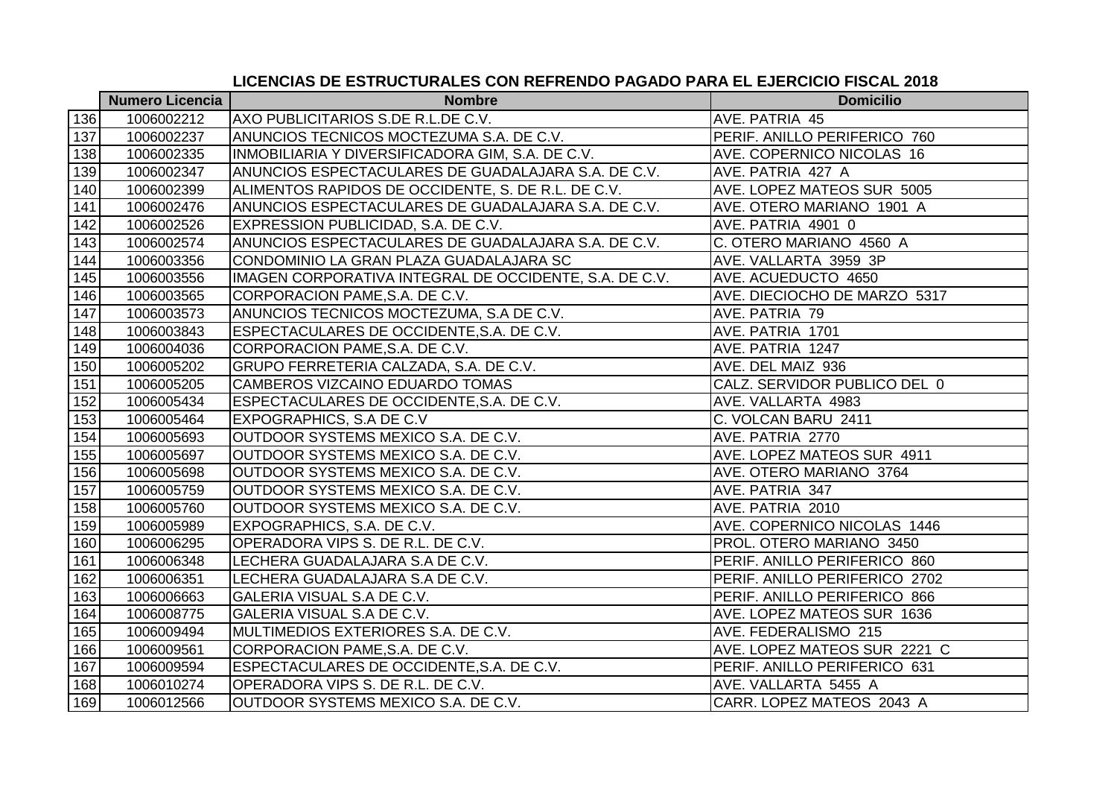|     | <b>Numero Licencia</b> | <b>Nombre</b>                                          | <b>Domicilio</b>              |
|-----|------------------------|--------------------------------------------------------|-------------------------------|
| 136 | 1006002212             | AXO PUBLICITARIOS S.DE R.L.DE C.V.                     | AVE. PATRIA 45                |
| 137 | 1006002237             | ANUNCIOS TECNICOS MOCTEZUMA S.A. DE C.V.               | PERIF. ANILLO PERIFERICO 760  |
| 138 | 1006002335             | INMOBILIARIA Y DIVERSIFICADORA GIM, S.A. DE C.V.       | AVE. COPERNICO NICOLAS 16     |
| 139 | 1006002347             | ANUNCIOS ESPECTACULARES DE GUADALAJARA S.A. DE C.V.    | AVE. PATRIA 427 A             |
| 140 | 1006002399             | ALIMENTOS RAPIDOS DE OCCIDENTE, S. DE R.L. DE C.V.     | AVE. LOPEZ MATEOS SUR 5005    |
| 141 | 1006002476             | ANUNCIOS ESPECTACULARES DE GUADALAJARA S.A. DE C.V.    | AVE. OTERO MARIANO 1901 A     |
| 142 | 1006002526             | EXPRESSION PUBLICIDAD, S.A. DE C.V.                    | AVE. PATRIA 4901 0            |
| 143 | 1006002574             | ANUNCIOS ESPECTACULARES DE GUADALAJARA S.A. DE C.V.    | C. OTERO MARIANO 4560 A       |
| 144 | 1006003356             | CONDOMINIO LA GRAN PLAZA GUADALAJARA SC                | AVE. VALLARTA 3959 3P         |
| 145 | 1006003556             | IMAGEN CORPORATIVA INTEGRAL DE OCCIDENTE, S.A. DE C.V. | AVE. ACUEDUCTO 4650           |
| 146 | 1006003565             | CORPORACION PAME, S.A. DE C.V.                         | AVE. DIECIOCHO DE MARZO 5317  |
| 147 | 1006003573             | ANUNCIOS TECNICOS MOCTEZUMA, S.A DE C.V.               | AVE. PATRIA 79                |
| 148 | 1006003843             | ESPECTACULARES DE OCCIDENTE, S.A. DE C.V.              | AVE. PATRIA 1701              |
| 149 | 1006004036             | CORPORACION PAME, S.A. DE C.V.                         | AVE. PATRIA 1247              |
| 150 | 1006005202             | GRUPO FERRETERIA CALZADA, S.A. DE C.V.                 | AVE. DEL MAIZ 936             |
| 151 | 1006005205             | CAMBEROS VIZCAINO EDUARDO TOMAS                        | CALZ. SERVIDOR PUBLICO DEL 0  |
| 152 | 1006005434             | ESPECTACULARES DE OCCIDENTE, S.A. DE C.V.              | AVE. VALLARTA 4983            |
| 153 | 1006005464             | <b>EXPOGRAPHICS, S.A DE C.V</b>                        | C. VOLCAN BARU 2411           |
| 154 | 1006005693             | OUTDOOR SYSTEMS MEXICO S.A. DE C.V.                    | AVE. PATRIA 2770              |
| 155 | 1006005697             | OUTDOOR SYSTEMS MEXICO S.A. DE C.V.                    | AVE. LOPEZ MATEOS SUR 4911    |
| 156 | 1006005698             | OUTDOOR SYSTEMS MEXICO S.A. DE C.V.                    | AVE. OTERO MARIANO 3764       |
| 157 | 1006005759             | OUTDOOR SYSTEMS MEXICO S.A. DE C.V.                    | AVE. PATRIA 347               |
| 158 | 1006005760             | OUTDOOR SYSTEMS MEXICO S.A. DE C.V.                    | AVE. PATRIA 2010              |
| 159 | 1006005989             | EXPOGRAPHICS, S.A. DE C.V.                             | AVE. COPERNICO NICOLAS 1446   |
| 160 | 1006006295             | OPERADORA VIPS S. DE R.L. DE C.V.                      | PROL. OTERO MARIANO 3450      |
| 161 | 1006006348             | LECHERA GUADALAJARA S.A DE C.V.                        | PERIF. ANILLO PERIFERICO 860  |
| 162 | 1006006351             | LECHERA GUADALAJARA S.A DE C.V.                        | PERIF. ANILLO PERIFERICO 2702 |
| 163 | 1006006663             | GALERIA VISUAL S.A DE C.V.                             | PERIF. ANILLO PERIFERICO 866  |
| 164 | 1006008775             | GALERIA VISUAL S.A DE C.V.                             | AVE. LOPEZ MATEOS SUR 1636    |
| 165 | 1006009494             | MULTIMEDIOS EXTERIORES S.A. DE C.V.                    | AVE. FEDERALISMO 215          |
| 166 | 1006009561             | CORPORACION PAME, S.A. DE C.V.                         | AVE. LOPEZ MATEOS SUR 2221 C  |
| 167 | 1006009594             | ESPECTACULARES DE OCCIDENTE, S.A. DE C.V.              | PERIF. ANILLO PERIFERICO 631  |
| 168 | 1006010274             | OPERADORA VIPS S. DE R.L. DE C.V.                      | AVE. VALLARTA 5455 A          |
| 169 | 1006012566             | OUTDOOR SYSTEMS MEXICO S.A. DE C.V.                    | CARR. LOPEZ MATEOS 2043 A     |